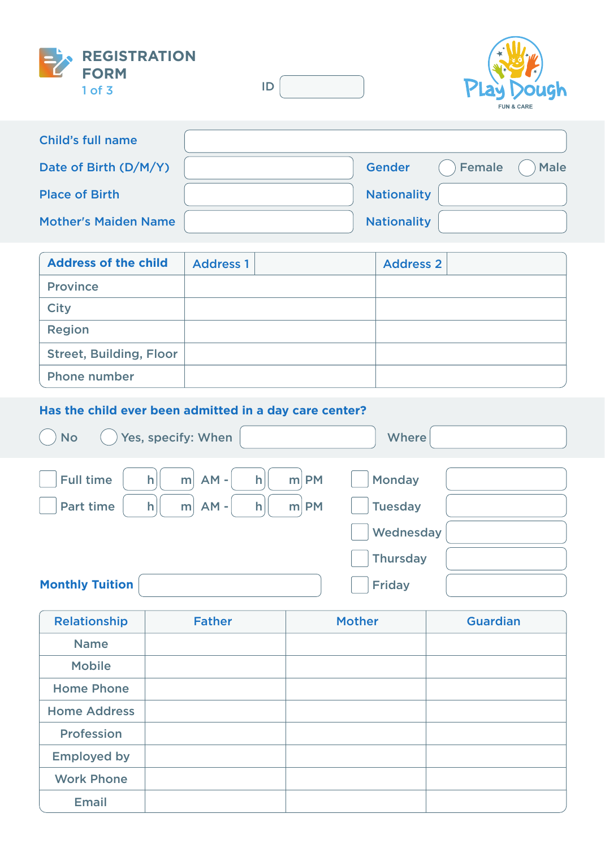



| <b>Child's full name</b>    |                    |        |        |
|-----------------------------|--------------------|--------|--------|
| Date of Birth (D/M/Y)       | <b>Gender</b>      | Female | ) Male |
| <b>Place of Birth</b>       | <b>Nationality</b> |        |        |
| <b>Mother's Maiden Name</b> | <b>Nationality</b> |        |        |

| <b>Address of the child</b>    | <b>Address 1</b> | <b>Address 2</b> |  |
|--------------------------------|------------------|------------------|--|
| <b>Province</b>                |                  |                  |  |
| <b>City</b>                    |                  |                  |  |
| <b>Region</b>                  |                  |                  |  |
| <b>Street, Building, Floor</b> |                  |                  |  |
| <b>Phone number</b>            |                  |                  |  |

## **Has the child ever been admitted in a day care center?**

| $)$ Yes, specify: When<br><b>No</b>                         | Where          |
|-------------------------------------------------------------|----------------|
| $m$ AM -<br>$m$ PM<br><b>Full time</b><br> h <br> h         | Monday         |
| $m$ AM -<br>$m$ PM<br><b>Part time</b><br>$\mathsf{h}$<br>h | <b>Tuesday</b> |
|                                                             | Wednesday      |
|                                                             | Thursday       |
| <b>Monthly Tuition</b>                                      | <b>Friday</b>  |

| <b>Relationship</b> | <b>Father</b> | <b>Mother</b> | <b>Guardian</b> |
|---------------------|---------------|---------------|-----------------|
| <b>Name</b>         |               |               |                 |
| <b>Mobile</b>       |               |               |                 |
| <b>Home Phone</b>   |               |               |                 |
| <b>Home Address</b> |               |               |                 |
| Profession          |               |               |                 |
| <b>Employed by</b>  |               |               |                 |
| <b>Work Phone</b>   |               |               |                 |
| <b>Email</b>        |               |               |                 |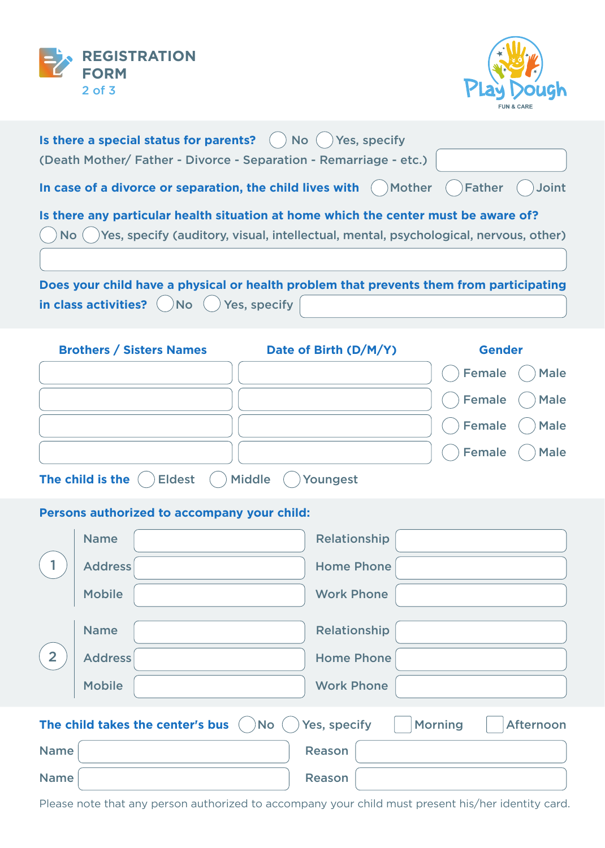



| Is there a special status for parents? $\left( \right)$ No $\left( \right)$ Yes, specify                              |
|-----------------------------------------------------------------------------------------------------------------------|
| (Death Mother/Father - Divorce - Separation - Remarriage - etc.)                                                      |
| In case of a divorce or separation, the child lives with $\bigcirc$ Mother $\bigcirc$ Father $\bigcirc$ Joint         |
| Is there any particular health situation at home which the center must be aware of?                                   |
| $\binom{1}{1}$ No $\binom{1}{1}$ Yes, specify (auditory, visual, intellectual, mental, psychological, nervous, other) |
| Does your child have a physical or health problem that prevents them from participating                               |
| in class activities? $\bigcirc$ No $\bigcirc$ Yes, specify $\bigcirc$                                                 |
| <b>Ductions</b> / Citation Moment <b>Communication Details And Allie / D</b> / M / M                                  |

| <b>Brothers / Sisters Names</b>   | Date of Birth (D/M/Y) | <b>Gender</b>                     |
|-----------------------------------|-----------------------|-----------------------------------|
|                                   |                       | Female ( ) Male                   |
|                                   |                       | $\bigcirc$ Female $\bigcirc$ Male |
|                                   |                       | Female ( ) Male                   |
|                                   |                       | Female ( ) Male                   |
| The child is the<br><b>Eldest</b> | Ariddle<br>Youngest   |                                   |

## **Persons authorized to accompany your child:**

|                | <b>Name</b>    | Relationship                                                                                   |
|----------------|----------------|------------------------------------------------------------------------------------------------|
|                | <b>Address</b> | <b>Home Phone</b>                                                                              |
|                | <b>Mobile</b>  | <b>Work Phone</b>                                                                              |
|                | <b>Name</b>    | Relationship                                                                                   |
| $\overline{2}$ | <b>Address</b> | <b>Home Phone</b>                                                                              |
|                | <b>Mobile</b>  | <b>Work Phone</b>                                                                              |
|                |                | Yes, specify<br>The child takes the center's bus ( )No (<br><b>Morning</b><br><b>Afternoon</b> |
|                |                |                                                                                                |
| <b>Name</b>    |                | <b>Reason</b>                                                                                  |
| <b>Name</b>    |                | <b>Reason</b>                                                                                  |

Please note that any person authorized to accompany your child must present his/her identity card.